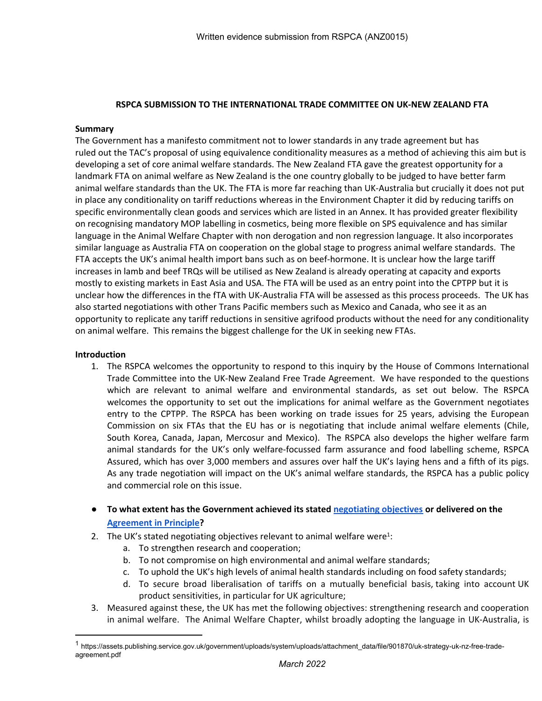## **RSPCA SUBMISSION TO THE INTERNATIONAL TRADE COMMITTEE ON UK-NEW ZEALAND FTA**

## **Summary**

The Government has a manifesto commitment not to lower standards in any trade agreement but has ruled out the TAC's proposal of using equivalence conditionality measures as a method of achieving this aim but is developing a set of core animal welfare standards. The New Zealand FTA gave the greatest opportunity for a landmark FTA on animal welfare as New Zealand is the one country globally to be judged to have better farm animal welfare standards than the UK. The FTA is more far reaching than UK-Australia but crucially it does not put in place any conditionality on tariff reductions whereas in the Environment Chapter it did by reducing tariffs on specific environmentally clean goods and services which are listed in an Annex. It has provided greater flexibility on recognising mandatory MOP labelling in cosmetics, being more flexible on SPS equivalence and has similar language in the Animal Welfare Chapter with non derogation and non regression language. It also incorporates similar language as Australia FTA on cooperation on the global stage to progress animal welfare standards. The FTA accepts the UK's animal health import bans such as on beef-hormone. It is unclear how the large tariff increases in lamb and beef TRQs will be utilised as New Zealand is already operating at capacity and exports mostly to existing markets in East Asia and USA. The FTA will be used as an entry point into the CPTPP but it is unclear how the differences in the fTA with UK-Australia FTA will be assessed as this process proceeds. The UK has also started negotiations with other Trans Pacific members such as Mexico and Canada, who see it as an opportunity to replicate any tariff reductions in sensitive agrifood products without the need for any conditionality on animal welfare. This remains the biggest challenge for the UK in seeking new FTAs.

## **Introduction**

- 1. The RSPCA welcomes the opportunity to respond to this inquiry by the House of Commons International Trade Committee into the UK-New Zealand Free Trade Agreement. We have responded to the questions which are relevant to animal welfare and environmental standards, as set out below. The RSPCA welcomes the opportunity to set out the implications for animal welfare as the Government negotiates entry to the CPTPP. The RSPCA has been working on trade issues for 25 years, advising the European Commission on six FTAs that the EU has or is negotiating that include animal welfare elements (Chile, South Korea, Canada, Japan, Mercosur and Mexico). The RSPCA also develops the higher welfare farm animal standards for the UK's only welfare-focussed farm assurance and food labelling scheme, RSPCA Assured, which has over 3,000 members and assures over half the UK's laying hens and a fifth of its pigs. As any trade negotiation will impact on the UK's animal welfare standards, the RSPCA has a public policy and commercial role on this issue.
- **To what extent has the Government achieved its stated [negotiating](https://assets.publishing.service.gov.uk/government/uploads/system/uploads/attachment_data/file/901870/uk-strategy-uk-nz-free-trade-agreement.pdf) [objectives](https://assets.publishing.service.gov.uk/government/uploads/system/uploads/attachment_data/file/901870/uk-strategy-uk-nz-free-trade-agreement.pdf) or delivered on the [Agreement](https://www.gov.uk/government/publications/uk-new-zealand-free-trade-agreement-negotiations-agreement-in-principle/uk-new-zealand-fta-negotiations-agreement-in-principle) [in](https://www.gov.uk/government/publications/uk-new-zealand-free-trade-agreement-negotiations-agreement-in-principle/uk-new-zealand-fta-negotiations-agreement-in-principle) [Principle?](https://www.gov.uk/government/publications/uk-new-zealand-free-trade-agreement-negotiations-agreement-in-principle/uk-new-zealand-fta-negotiations-agreement-in-principle)**
- 2. The UK's stated negotiating objectives relevant to animal welfare were<sup>1</sup>:
	- a. To strengthen research and cooperation;
	- b. To not compromise on high environmental and animal welfare standards;
	- c. To uphold the UK's high levels of animal health standards including on food safety standards;
	- d. To secure broad liberalisation of tariffs on a mutually beneficial basis, taking into account UK product sensitivities, in particular for UK agriculture;
- 3. Measured against these, the UK has met the following objectives: strengthening research and cooperation in animal welfare. The Animal Welfare Chapter, whilst broadly adopting the language in UK-Australia, is

<sup>1</sup> https://assets.publishing.service.gov.uk/government/uploads/system/uploads/attachment\_data/file/901870/uk-strategy-uk-nz-free-tradeagreement.pdf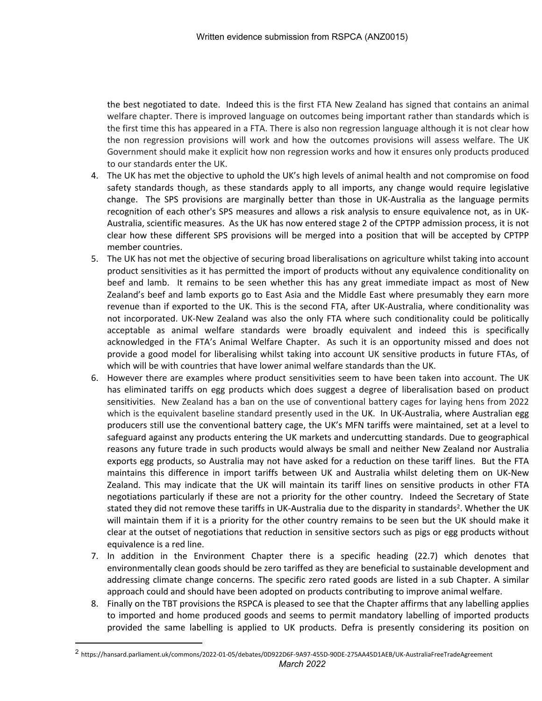the best negotiated to date. Indeed this is the first FTA New Zealand has signed that contains an animal welfare chapter. There is improved language on outcomes being important rather than standards which is the first time this has appeared in a FTA. There is also non regression language although it is not clear how the non regression provisions will work and how the outcomes provisions will assess welfare. The UK Government should make it explicit how non regression works and how it ensures only products produced to our standards enter the UK.

- 4. The UK has met the objective to uphold the UK's high levels of animal health and not compromise on food safety standards though, as these standards apply to all imports, any change would require legislative change. The SPS provisions are marginally better than those in UK-Australia as the language permits recognition of each other's SPS measures and allows a risk analysis to ensure equivalence not, as in UK-Australia, scientific measures. As the UK has now entered stage 2 of the CPTPP admission process, it is not clear how these different SPS provisions will be merged into a position that will be accepted by CPTPP member countries.
- 5. The UK has not met the objective of securing broad liberalisations on agriculture whilst taking into account product sensitivities as it has permitted the import of products without any equivalence conditionality on beef and lamb. It remains to be seen whether this has any great immediate impact as most of New Zealand's beef and lamb exports go to East Asia and the Middle East where presumably they earn more revenue than if exported to the UK. This is the second FTA, after UK-Australia, where conditionality was not incorporated. UK-New Zealand was also the only FTA where such conditionality could be politically acceptable as animal welfare standards were broadly equivalent and indeed this is specifically acknowledged in the FTA's Animal Welfare Chapter. As such it is an opportunity missed and does not provide a good model for liberalising whilst taking into account UK sensitive products in future FTAs, of which will be with countries that have lower animal welfare standards than the UK.
- 6. However there are examples where product sensitivities seem to have been taken into account. The UK has eliminated tariffs on egg products which does suggest a degree of liberalisation based on product sensitivities. New Zealand has a ban on the use of conventional battery cages for laying hens from 2022 which is the equivalent baseline standard presently used in the UK. In UK-Australia, where Australian egg producers still use the conventional battery cage, the UK's MFN tariffs were maintained, set at a level to safeguard against any products entering the UK markets and undercutting standards. Due to geographical reasons any future trade in such products would always be small and neither New Zealand nor Australia exports egg products, so Australia may not have asked for a reduction on these tariff lines. But the FTA maintains this difference in import tariffs between UK and Australia whilst deleting them on UK-New Zealand. This may indicate that the UK will maintain its tariff lines on sensitive products in other FTA negotiations particularly if these are not a priority for the other country. Indeed the Secretary of State stated they did not remove these tariffs in UK-Australia due to the disparity in standards<sup>2</sup>. Whether the UK will maintain them if it is a priority for the other country remains to be seen but the UK should make it clear at the outset of negotiations that reduction in sensitive sectors such as pigs or egg products without equivalence is a red line.
- 7. In addition in the Environment Chapter there is a specific heading (22.7) which denotes that environmentally clean goods should be zero tariffed as they are beneficial to sustainable development and addressing climate change concerns. The specific zero rated goods are listed in a sub Chapter. A similar approach could and should have been adopted on products contributing to improve animal welfare.
- 8. Finally on the TBT provisions the RSPCA is pleased to see that the Chapter affirms that any labelling applies to imported and home produced goods and seems to permit mandatory labelling of imported products provided the same labelling is applied to UK products. Defra is presently considering its position on

*March 2022* 2 https://hansard.parliament.uk/commons/2022-01-05/debates/0D922D6F-9A97-455D-90DE-275AA45D1AEB/UK-AustraliaFreeTradeAgreement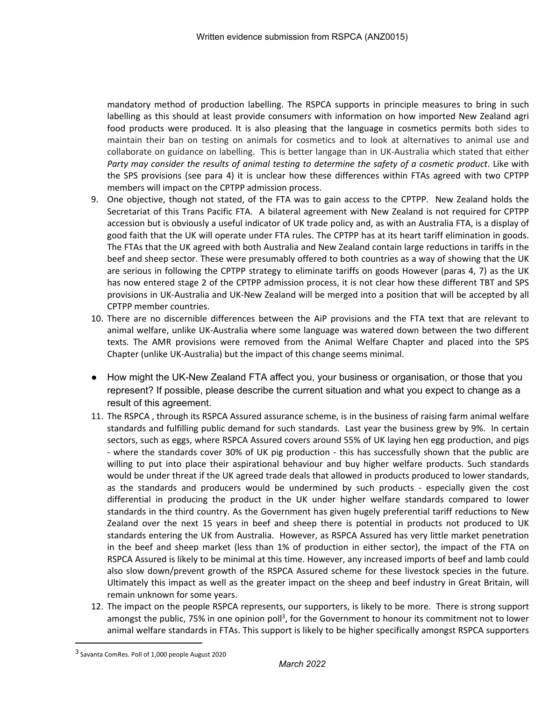mandatory method of production labelling. The RSPCA supports in principle measures to bring in such labelling as this should at least provide consumers with information on how imported New Zealand agri food products were produced. It is also pleasing that the language in cosmetics permits both sides to maintain their ban on testing on animals for cosmetics and to look at alternatives to animal use and collaborate on guidance on labelling. This is better langage than in UK-Australia which stated that either *Party may consider the results of animal testing to determine the safety of a cosmetic product*. Like with the SPS provisions (see para 4) it is unclear how these differences within FTAs agreed with two CPTPP members will impact on the CPTPP admission process.

- 9. One objective, though not stated, of the FTA was to gain access to the CPTPP. New Zealand holds the Secretariat of this Trans Pacific FTA. A bilateral agreement with New Zealand is not required for CPTPP accession but is obviously a useful indicator of UK trade policy and, as with an Australia FTA, is a display of good faith that the UK will operate under FTA rules. The CPTPP has at its heart tariff elimination in goods. The FTAs that the UK agreed with both Australia and New Zealand contain large reductions in tariffs in the beef and sheep sector. These were presumably offered to both countries as a way of showing that the UK are serious in following the CPTPP strategy to eliminate tariffs on goods However (paras 4, 7) as the UK has now entered stage 2 of the CPTPP admission process, it is not clear how these different TBT and SPS provisions in UK-Australia and UK-New Zealand will be merged into a position that will be accepted by all CPTPP member countries.
- 10. There are no discernible differences between the AiP provisions and the FTA text that are relevant to animal welfare, unlike UK-Australia where some language was watered down between the two different texts. The AMR provisions were removed from the Animal Welfare Chapter and placed into the SPS Chapter (unlike UK-Australia) but the impact of this change seems minimal.
- How might the UK-New Zealand FTA affect you, your business or organisation, or those that you represent? If possible, please describe the current situation and what you expect to change as a result of this agreement.
- 11. The RSPCA , through its RSPCA Assured assurance scheme, is in the business of raising farm animal welfare standards and fulfilling public demand for such standards. Last year the business grew by 9%. In certain sectors, such as eggs, where RSPCA Assured covers around 55% of UK laying hen egg production, and pigs - where the standards cover 30% of UK pig production - this has successfully shown that the public are willing to put into place their aspirational behaviour and buy higher welfare products. Such standards would be under threat if the UK agreed trade deals that allowed in products produced to lower standards, as the standards and producers would be undermined by such products - especially given the cost differential in producing the product in the UK under higher welfare standards compared to lower standards in the third country. As the Government has given hugely preferential tariff reductions to New Zealand over the next 15 years in beef and sheep there is potential in products not produced to UK standards entering the UK from Australia. However, as RSPCA Assured has very little market penetration in the beef and sheep market (less than 1% of production in either sector), the impact of the FTA on RSPCA Assured is likely to be minimal at this time. However, any increased imports of beef and lamb could also slow down/prevent growth of the RSPCA Assured scheme for these livestock species in the future. Ultimately this impact as well as the greater impact on the sheep and beef industry in Great Britain, will remain unknown for some years.
- 12. The impact on the people RSPCA represents, our supporters, is likely to be more. There is strong support amongst the public, 75% in one opinion poll<sup>3</sup>, for the Government to honour its commitment not to lower animal welfare standards in FTAs. This support is likely to be higher specifically amongst RSPCA supporters

<sup>3</sup> Savanta ComRes. Poll of 1,000 people August 2020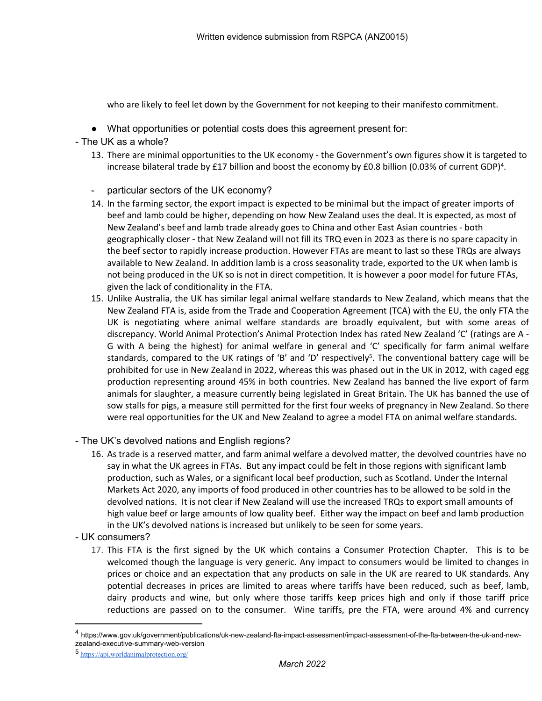who are likely to feel let down by the Government for not keeping to their manifesto commitment.

- What opportunities or potential costs does this agreement present for:
- The UK as a whole?
	- 13. There are minimal opportunities to the UK economy the Government's own figures show it is targeted to increase bilateral trade by £17 billion and boost the economy by £0.8 billion (0.03% of current GDP)<sup>4</sup>.
	- particular sectors of the UK economy?
	- 14. In the farming sector, the export impact is expected to be minimal but the impact of greater imports of beef and lamb could be higher, depending on how New Zealand uses the deal. It is expected, as most of New Zealand's beef and lamb trade already goes to China and other East Asian countries - both geographically closer - that New Zealand will not fill its TRQ even in 2023 as there is no spare capacity in the beef sector to rapidly increase production. However FTAs are meant to last so these TRQs are always available to New Zealand. In addition lamb is a cross seasonality trade, exported to the UK when lamb is not being produced in the UK so is not in direct competition. It is however a poor model for future FTAs, given the lack of conditionality in the FTA.
	- 15. Unlike Australia, the UK has similar legal animal welfare standards to New Zealand, which means that the New Zealand FTA is, aside from the Trade and Cooperation Agreement (TCA) with the EU, the only FTA the UK is negotiating where animal welfare standards are broadly equivalent, but with some areas of discrepancy. World Animal Protection's Animal Protection Index has rated New Zealand 'C' (ratings are A - G with A being the highest) for animal welfare in general and 'C' specifically for farm animal welfare standards, compared to the UK ratings of 'B' and 'D' respectively<sup>5</sup>. The conventional battery cage will be prohibited for use in New Zealand in 2022, whereas this was phased out in the UK in 2012, with caged egg production representing around 45% in both countries. New Zealand has banned the live export of farm animals for slaughter, a measure currently being legislated in Great Britain. The UK has banned the use of sow stalls for pigs, a measure still permitted for the first four weeks of pregnancy in New Zealand. So there were real opportunities for the UK and New Zealand to agree a model FTA on animal welfare standards.
- The UK's devolved nations and English regions?
	- 16. As trade is a reserved matter, and farm animal welfare a devolved matter, the devolved countries have no say in what the UK agrees in FTAs. But any impact could be felt in those regions with significant lamb production, such as Wales, or a significant local beef production, such as Scotland. Under the Internal Markets Act 2020, any imports of food produced in other countries has to be allowed to be sold in the devolved nations. It is not clear if New Zealand will use the increased TRQs to export small amounts of high value beef or large amounts of low quality beef. Either way the impact on beef and lamb production in the UK's devolved nations is increased but unlikely to be seen for some years.
- UK consumers?
	- 17. This FTA is the first signed by the UK which contains a Consumer Protection Chapter. This is to be welcomed though the language is very generic. Any impact to consumers would be limited to changes in prices or choice and an expectation that any products on sale in the UK are reared to UK standards. Any potential decreases in prices are limited to areas where tariffs have been reduced, such as beef, lamb, dairy products and wine, but only where those tariffs keep prices high and only if those tariff price reductions are passed on to the consumer.Wine tariffs, pre the FTA, were around 4% and currency

<sup>4</sup> https://www.gov.uk/government/publications/uk-new-zealand-fta-impact-assessment/impact-assessment-of-the-fta-between-the-uk-and-newzealand-executive-summary-web-version

<sup>5</sup> <https://api.worldanimalprotection.org/>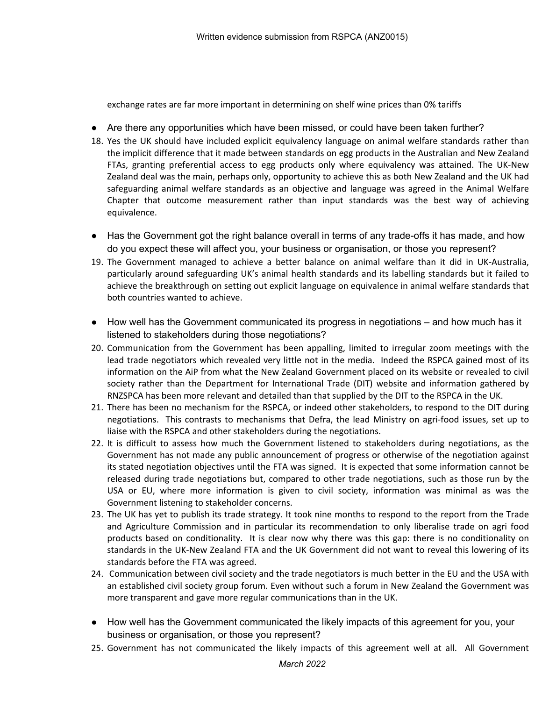exchange rates are far more important in determining on shelf wine prices than 0% tariffs

- Are there any opportunities which have been missed, or could have been taken further?
- 18. Yes the UK should have included explicit equivalency language on animal welfare standards rather than the implicit difference that it made between standards on egg products in the Australian and New Zealand FTAs, granting preferential access to egg products only where equivalency was attained. The UK-New Zealand deal was the main, perhaps only, opportunity to achieve this as both New Zealand and the UK had safeguarding animal welfare standards as an objective and language was agreed in the Animal Welfare Chapter that outcome measurement rather than input standards was the best way of achieving equivalence.
- Has the Government got the right balance overall in terms of any trade-offs it has made, and how do you expect these will affect you, your business or organisation, or those you represent?
- 19. The Government managed to achieve a better balance on animal welfare than it did in UK-Australia, particularly around safeguarding UK's animal health standards and its labelling standards but it failed to achieve the breakthrough on setting out explicit language on equivalence in animal welfare standards that both countries wanted to achieve.
- How well has the Government communicated its progress in negotiations and how much has it listened to stakeholders during those negotiations?
- 20. Communication from the Government has been appalling, limited to irregular zoom meetings with the lead trade negotiators which revealed very little not in the media. Indeed the RSPCA gained most of its information on the AiP from what the New Zealand Government placed on its website or revealed to civil society rather than the Department for International Trade (DIT) website and information gathered by RNZSPCA has been more relevant and detailed than that supplied by the DIT to the RSPCA in the UK.
- 21. There has been no mechanism for the RSPCA, or indeed other stakeholders, to respond to the DIT during negotiations. This contrasts to mechanisms that Defra, the lead Ministry on agri-food issues, set up to liaise with the RSPCA and other stakeholders during the negotiations.
- 22. It is difficult to assess how much the Government listened to stakeholders during negotiations, as the Government has not made any public announcement of progress or otherwise of the negotiation against its stated negotiation objectives until the FTA was signed. It is expected that some information cannot be released during trade negotiations but, compared to other trade negotiations, such as those run by the USA or EU, where more information is given to civil society, information was minimal as was the Government listening to stakeholder concerns.
- 23. The UK has yet to publish its trade strategy. It took nine months to respond to the report from the Trade and Agriculture Commission and in particular its recommendation to only liberalise trade on agri food products based on conditionality. It is clear now why there was this gap: there is no conditionality on standards in the UK-New Zealand FTA and the UK Government did not want to reveal this lowering of its standards before the FTA was agreed.
- 24. Communication between civil society and the trade negotiators is much better in the EU and the USA with an established civil society group forum. Even without such a forum in New Zealand the Government was more transparent and gave more regular communications than in the UK.
- How well has the Government communicated the likely impacts of this agreement for you, your business or organisation, or those you represent?
- 25. Government has not communicated the likely impacts of this agreement well at all. All Government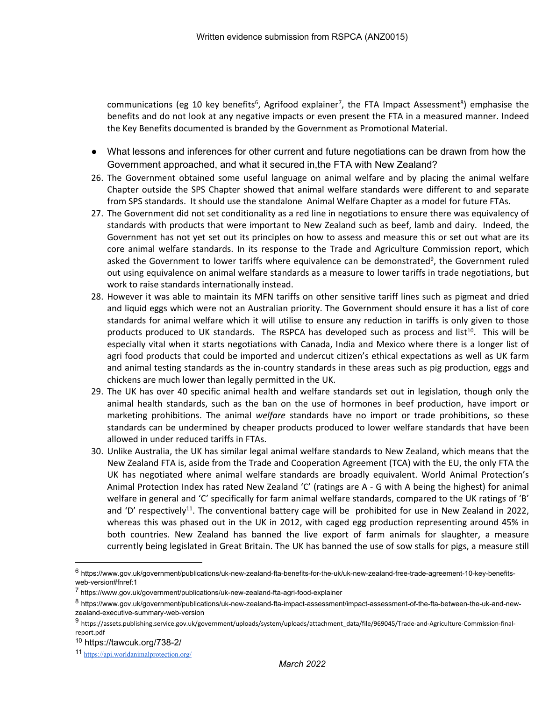communications (eg 10 key benefits<sup>6</sup>, Agrifood explainer<sup>7</sup>, the FTA Impact Assessment<sup>8</sup>) emphasise the benefits and do not look at any negative impacts or even present the FTA in a measured manner. Indeed the Key Benefits documented is branded by the Government as Promotional Material.

- What lessons and inferences for other current and future negotiations can be drawn from how the Government approached, and what it secured in,the FTA with New Zealand?
- 26. The Government obtained some useful language on animal welfare and by placing the animal welfare Chapter outside the SPS Chapter showed that animal welfare standards were different to and separate from SPS standards. It should use the standalone Animal Welfare Chapter as a model for future FTAs.
- 27. The Government did not set conditionality as a red line in negotiations to ensure there was equivalency of standards with products that were important to New Zealand such as beef, lamb and dairy. Indeed, the Government has not yet set out its principles on how to assess and measure this or set out what are its core animal welfare standards. In its response to the Trade and Agriculture Commission report, which asked the Government to lower tariffs where equivalence can be demonstrated<sup>9</sup>, the Government ruled out using equivalence on animal welfare standards as a measure to lower tariffs in trade negotiations, but work to raise standards internationally instead.
- 28. However it was able to maintain its MFN tariffs on other sensitive tariff lines such as pigmeat and dried and liquid eggs which were not an Australian priority. The Government should ensure it has a list of core standards for animal welfare which it will utilise to ensure any reduction in tariffs is only given to those products produced to UK standards. The RSPCA has developed such as process and list<sup>10</sup>. This will be especially vital when it starts negotiations with Canada, India and Mexico where there is a longer list of agri food products that could be imported and undercut citizen's ethical expectations as well as UK farm and animal testing standards as the in-country standards in these areas such as pig production, eggs and chickens are much lower than legally permitted in the UK.
- 29. The UK has over 40 specific animal health and welfare standards set out in legislation, though only the animal health standards, such as the ban on the use of hormones in beef production, have import or marketing prohibitions. The animal *welfare* standards have no import or trade prohibitions, so these standards can be undermined by cheaper products produced to lower welfare standards that have been allowed in under reduced tariffs in FTAs.
- 30. Unlike Australia, the UK has similar legal animal welfare standards to New Zealand, which means that the New Zealand FTA is, aside from the Trade and Cooperation Agreement (TCA) with the EU, the only FTA the UK has negotiated where animal welfare standards are broadly equivalent. World Animal Protection's Animal Protection Index has rated New Zealand 'C' (ratings are A - G with A being the highest) for animal welfare in general and 'C' specifically for farm animal welfare standards, compared to the UK ratings of 'B' and 'D' respectively<sup>11</sup>. The conventional battery cage will be prohibited for use in New Zealand in 2022, whereas this was phased out in the UK in 2012, with caged egg production representing around 45% in both countries. New Zealand has banned the live export of farm animals for slaughter, a measure currently being legislated in Great Britain. The UK has banned the use of sow stalls for pigs, a measure still

<sup>6</sup> https://www.gov.uk/government/publications/uk-new-zealand-fta-benefits-for-the-uk/uk-new-zealand-free-trade-agreement-10-key-benefitsweb-version#fnref:1

<sup>7</sup> https://www.gov.uk/government/publications/uk-new-zealand-fta-agri-food-explainer

<sup>8</sup> https://www.gov.uk/government/publications/uk-new-zealand-fta-impact-assessment/impact-assessment-of-the-fta-between-the-uk-and-newzealand-executive-summary-web-version

<sup>9</sup> https://assets.publishing.service.gov.uk/government/uploads/system/uploads/attachment\_data/file/969045/Trade-and-Agriculture-Commission-finalreport.pdf

<sup>10</sup> https://tawcuk.org/738-2/

<sup>11</sup> <https://api.worldanimalprotection.org/>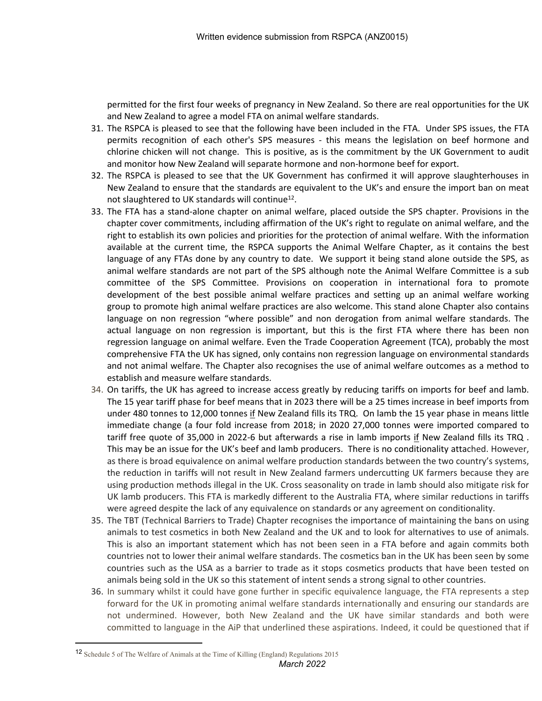permitted for the first four weeks of pregnancy in New Zealand. So there are real opportunities for the UK and New Zealand to agree a model FTA on animal welfare standards.

- 31. The RSPCA is pleased to see that the following have been included in the FTA. Under SPS issues, the FTA permits recognition of each other's SPS measures - this means the legislation on beef hormone and chlorine chicken will not change. This is positive, as is the commitment by the UK Government to audit and monitor how New Zealand will separate hormone and non-hormone beef for export.
- 32. The RSPCA is pleased to see that the UK Government has confirmed it will approve slaughterhouses in New Zealand to ensure that the standards are equivalent to the UK's and ensure the import ban on meat not slaughtered to UK standards will continue<sup>12</sup>.
- 33. The FTA has a stand-alone chapter on animal welfare, placed outside the SPS chapter. Provisions in the chapter cover commitments, including affirmation of the UK's right to regulate on animal welfare, and the right to establish its own policies and priorities for the protection of animal welfare. With the information available at the current time, the RSPCA supports the Animal Welfare Chapter, as it contains the best language of any FTAs done by any country to date. We support it being stand alone outside the SPS, as animal welfare standards are not part of the SPS although note the Animal Welfare Committee is a sub committee of the SPS Committee. Provisions on cooperation in international fora to promote development of the best possible animal welfare practices and setting up an animal welfare working group to promote high animal welfare practices are also welcome. This stand alone Chapter also contains language on non regression "where possible" and non derogation from animal welfare standards. The actual language on non regression is important, but this is the first FTA where there has been non regression language on animal welfare. Even the Trade Cooperation Agreement (TCA), probably the most comprehensive FTA the UK has signed, only contains non regression language on environmental standards and not animal welfare. The Chapter also recognises the use of animal welfare outcomes as a method to establish and measure welfare standards.
- 34. On tariffs, the UK has agreed to increase access greatly by reducing tariffs on imports for beef and lamb. The 15 year tariff phase for beef means that in 2023 there will be a 25 times increase in beef imports from under 480 tonnes to 12,000 tonnes if New Zealand fills its TRQ. On lamb the 15 year phase in means little immediate change (a four fold increase from 2018; in 2020 27,000 tonnes were imported compared to tariff free quote of 35,000 in 2022-6 but afterwards a rise in lamb imports if New Zealand fills its TRQ . This may be an issue for the UK's beef and lamb producers. There is no conditionality attached. However, as there is broad equivalence on animal welfare production standards between the two country's systems, the reduction in tariffs will not result in New Zealand farmers undercutting UK farmers because they are using production methods illegal in the UK. Cross seasonality on trade in lamb should also mitigate risk for UK lamb producers. This FTA is markedly different to the Australia FTA, where similar reductions in tariffs were agreed despite the lack of any equivalence on standards or any agreement on conditionality.
- 35. The TBT (Technical Barriers to Trade) Chapter recognises the importance of maintaining the bans on using animals to test cosmetics in both New Zealand and the UK and to look for alternatives to use of animals. This is also an important statement which has not been seen in a FTA before and again commits both countries not to lower their animal welfare standards. The cosmetics ban in the UK has been seen by some countries such as the USA as a barrier to trade as it stops cosmetics products that have been tested on animals being sold in the UK so this statement of intent sends a strong signal to other countries.
- 36. In summary whilst it could have gone further in specific equivalence language, the FTA represents a step forward for the UK in promoting animal welfare standards internationally and ensuring our standards are not undermined. However, both New Zealand and the UK have similar standards and both were committed to language in the AiP that underlined these aspirations. Indeed, it could be questioned that if

<sup>12</sup> Schedule 5 of The Welfare of Animals at the Time of Killing (England) Regulations 2015